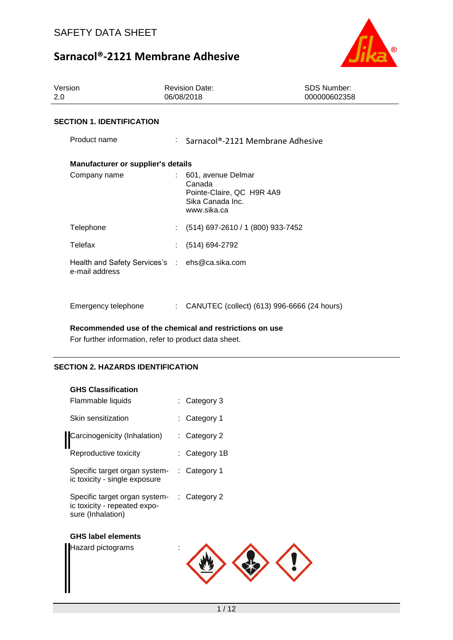

| Version<br>2.0                                                   | <b>Revision Date:</b><br>06/08/2018                                                          | <b>SDS Number:</b><br>000000602358          |
|------------------------------------------------------------------|----------------------------------------------------------------------------------------------|---------------------------------------------|
| <b>SECTION 1. IDENTIFICATION</b>                                 |                                                                                              |                                             |
| Product name                                                     | : Sarnacol®-2121 Membrane Adhesive                                                           |                                             |
| <b>Manufacturer or supplier's details</b>                        |                                                                                              |                                             |
| Company name                                                     | 601, avenue Delmar<br>Canada<br>Pointe-Claire, QC H9R 4A9<br>Sika Canada Inc.<br>www.sika.ca |                                             |
| Telephone                                                        | (514) 697-2610 / 1 (800) 933-7452<br>t.                                                      |                                             |
| Telefax                                                          | (514) 694-2792                                                                               |                                             |
| Health and Safety Services's : ehs@ca.sika.com<br>e-mail address |                                                                                              |                                             |
| Emergency telephone                                              | t.                                                                                           | CANUTEC (collect) (613) 996-6666 (24 hours) |

**Recommended use of the chemical and restrictions on use**

For further information, refer to product data sheet.

### **SECTION 2. HAZARDS IDENTIFICATION**

| <b>GHS Classification</b>                                                                       |               |
|-------------------------------------------------------------------------------------------------|---------------|
| Flammable liquids                                                                               | : Category 3  |
| Skin sensitization                                                                              | : Category 1  |
| Carcinogenicity (Inhalation)                                                                    | : Category 2  |
| Reproductive toxicity                                                                           | : Category 1B |
| Specific target organ system-<br>ic toxicity - single exposure                                  | : Category 1  |
| Specific target organ system- : Category 2<br>ic toxicity - repeated expo-<br>sure (Inhalation) |               |
| <b>GHS label elements</b>                                                                       |               |
| Hazard pictograms                                                                               |               |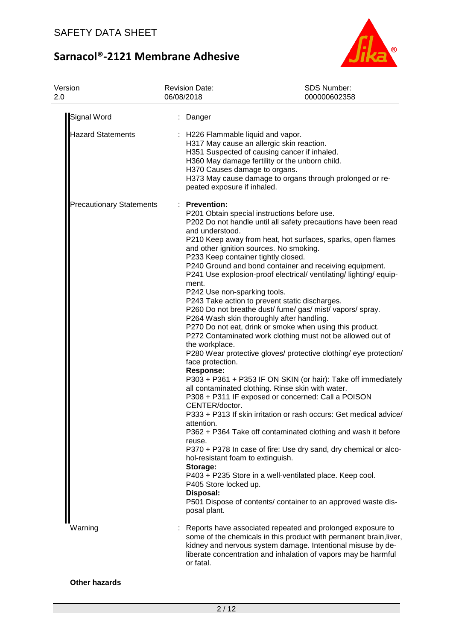

| Version<br>2.0                  | <b>Revision Date:</b><br>06/08/2018                                                                                                                                                                                                                                                                                                                                    | <b>SDS Number:</b><br>000000602358                                                                                                                                                                                                                                                                                                                                                                                                                                                                                                                                                                                                                                                                                                                                                                                                                                                                                                                                                                                                                                                                                                                                                         |
|---------------------------------|------------------------------------------------------------------------------------------------------------------------------------------------------------------------------------------------------------------------------------------------------------------------------------------------------------------------------------------------------------------------|--------------------------------------------------------------------------------------------------------------------------------------------------------------------------------------------------------------------------------------------------------------------------------------------------------------------------------------------------------------------------------------------------------------------------------------------------------------------------------------------------------------------------------------------------------------------------------------------------------------------------------------------------------------------------------------------------------------------------------------------------------------------------------------------------------------------------------------------------------------------------------------------------------------------------------------------------------------------------------------------------------------------------------------------------------------------------------------------------------------------------------------------------------------------------------------------|
| <b>Signal Word</b>              | : Danger                                                                                                                                                                                                                                                                                                                                                               |                                                                                                                                                                                                                                                                                                                                                                                                                                                                                                                                                                                                                                                                                                                                                                                                                                                                                                                                                                                                                                                                                                                                                                                            |
| <b>Hazard Statements</b>        | : H226 Flammable liquid and vapor.<br>H370 Causes damage to organs.<br>peated exposure if inhaled.                                                                                                                                                                                                                                                                     | H317 May cause an allergic skin reaction.<br>H351 Suspected of causing cancer if inhaled.<br>H360 May damage fertility or the unborn child.<br>H373 May cause damage to organs through prolonged or re-                                                                                                                                                                                                                                                                                                                                                                                                                                                                                                                                                                                                                                                                                                                                                                                                                                                                                                                                                                                    |
| <b>Precautionary Statements</b> | : Prevention:<br>and understood.<br>and other ignition sources. No smoking.<br>P233 Keep container tightly closed.<br>ment.<br>P242 Use non-sparking tools.<br>the workplace.<br>face protection.<br><b>Response:</b><br>CENTER/doctor.<br>attention.<br>reuse.<br>hol-resistant foam to extinguish.<br>Storage:<br>P405 Store locked up.<br>Disposal:<br>posal plant. | P201 Obtain special instructions before use.<br>P202 Do not handle until all safety precautions have been read<br>P210 Keep away from heat, hot surfaces, sparks, open flames<br>P240 Ground and bond container and receiving equipment.<br>P241 Use explosion-proof electrical/ventilating/lighting/equip-<br>P243 Take action to prevent static discharges.<br>P260 Do not breathe dust/ fume/ gas/ mist/ vapors/ spray.<br>P264 Wash skin thoroughly after handling.<br>P270 Do not eat, drink or smoke when using this product.<br>P272 Contaminated work clothing must not be allowed out of<br>P280 Wear protective gloves/ protective clothing/ eye protection/<br>P303 + P361 + P353 IF ON SKIN (or hair): Take off immediately<br>all contaminated clothing. Rinse skin with water.<br>P308 + P311 IF exposed or concerned: Call a POISON<br>P333 + P313 If skin irritation or rash occurs: Get medical advice/<br>P362 + P364 Take off contaminated clothing and wash it before<br>P370 + P378 In case of fire: Use dry sand, dry chemical or alco-<br>P403 + P235 Store in a well-ventilated place. Keep cool.<br>P501 Dispose of contents/ container to an approved waste dis- |
| Warning                         | or fatal.                                                                                                                                                                                                                                                                                                                                                              | Reports have associated repeated and prolonged exposure to<br>some of the chemicals in this product with permanent brain, liver,<br>kidney and nervous system damage. Intentional misuse by de-<br>liberate concentration and inhalation of vapors may be harmful                                                                                                                                                                                                                                                                                                                                                                                                                                                                                                                                                                                                                                                                                                                                                                                                                                                                                                                          |

**Other hazards**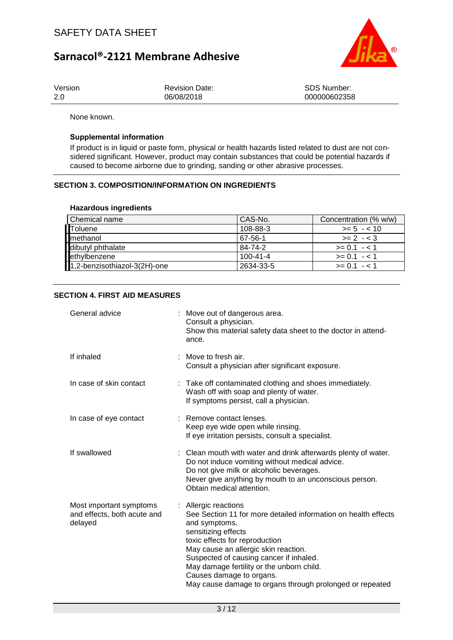

| Version | <b>Revision Date:</b> | SDS Number:  |
|---------|-----------------------|--------------|
| 2.0     | 06/08/2018            | 000000602358 |

None known.

#### **Supplemental information**

If product is in liquid or paste form, physical or health hazards listed related to dust are not considered significant. However, product may contain substances that could be potential hazards if caused to become airborne due to grinding, sanding or other abrasive processes.

### **SECTION 3. COMPOSITION/INFORMATION ON INGREDIENTS**

#### **Hazardous ingredients**

| Chemical name                | l CAS-No.      | Concentration (% w/w) |
|------------------------------|----------------|-----------------------|
| Toluene                      | 108-88-3       | $>= 5 - 10$           |
| methanol                     | 67-56-1        | $>= 2 - 3$            |
| dibutyl phthalate            | 84-74-2        | $>= 0.1 - 1.1$        |
| ethylbenzene                 | $100 - 41 - 4$ | $>= 0.1 - 1.1$        |
| 1,2-benzisothiazol-3(2H)-one | 2634-33-5      | $>= 0.1 - 1.1$        |

### **SECTION 4. FIRST AID MEASURES**

| General advice                                                    | : Move out of dangerous area.<br>Consult a physician.<br>Show this material safety data sheet to the doctor in attend-<br>ance.                                                                                                                                                                                                                                                          |
|-------------------------------------------------------------------|------------------------------------------------------------------------------------------------------------------------------------------------------------------------------------------------------------------------------------------------------------------------------------------------------------------------------------------------------------------------------------------|
| If inhaled                                                        | Move to fresh air.<br>Consult a physician after significant exposure.                                                                                                                                                                                                                                                                                                                    |
| In case of skin contact                                           | : Take off contaminated clothing and shoes immediately.<br>Wash off with soap and plenty of water.<br>If symptoms persist, call a physician.                                                                                                                                                                                                                                             |
| In case of eye contact                                            | : Remove contact lenses.<br>Keep eye wide open while rinsing.<br>If eye irritation persists, consult a specialist.                                                                                                                                                                                                                                                                       |
| If swallowed                                                      | : Clean mouth with water and drink afterwards plenty of water.<br>Do not induce vomiting without medical advice.<br>Do not give milk or alcoholic beverages.<br>Never give anything by mouth to an unconscious person.<br>Obtain medical attention.                                                                                                                                      |
| Most important symptoms<br>and effects, both acute and<br>delayed | : Allergic reactions<br>See Section 11 for more detailed information on health effects<br>and symptoms.<br>sensitizing effects<br>toxic effects for reproduction<br>May cause an allergic skin reaction.<br>Suspected of causing cancer if inhaled.<br>May damage fertility or the unborn child.<br>Causes damage to organs.<br>May cause damage to organs through prolonged or repeated |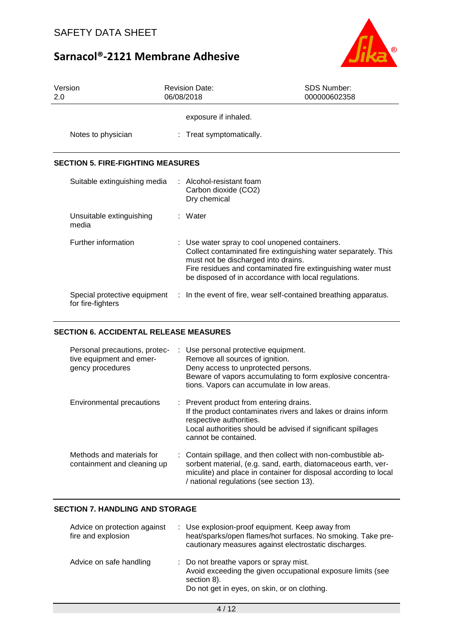

| Version<br>2.0                                    | <b>Revision Date:</b><br>06/08/2018                                                   | <b>SDS Number:</b><br>000000602358                                                                                                                                                     |
|---------------------------------------------------|---------------------------------------------------------------------------------------|----------------------------------------------------------------------------------------------------------------------------------------------------------------------------------------|
|                                                   | exposure if inhaled.                                                                  |                                                                                                                                                                                        |
| Notes to physician                                | : Treat symptomatically.                                                              |                                                                                                                                                                                        |
| <b>SECTION 5. FIRE-FIGHTING MEASURES</b>          |                                                                                       |                                                                                                                                                                                        |
| Suitable extinguishing media                      | $\therefore$ Alcohol-resistant foam<br>Carbon dioxide (CO2)<br>Dry chemical           |                                                                                                                                                                                        |
| Unsuitable extinguishing<br>media                 | : Water                                                                               |                                                                                                                                                                                        |
| Further information                               | : Use water spray to cool unopened containers.<br>must not be discharged into drains. | Collect contaminated fire extinguishing water separately. This<br>Fire residues and contaminated fire extinguishing water must<br>be disposed of in accordance with local regulations. |
| Special protective equipment<br>for fire-fighters |                                                                                       | : In the event of fire, wear self-contained breathing apparatus.                                                                                                                       |

## **SECTION 6. ACCIDENTAL RELEASE MEASURES**

| Personal precautions, protec-<br>tive equipment and emer-<br>gency procedures | : Use personal protective equipment.<br>Remove all sources of ignition.<br>Deny access to unprotected persons.<br>Beware of vapors accumulating to form explosive concentra-<br>tions. Vapors can accumulate in low areas.                     |
|-------------------------------------------------------------------------------|------------------------------------------------------------------------------------------------------------------------------------------------------------------------------------------------------------------------------------------------|
| <b>Environmental precautions</b>                                              | : Prevent product from entering drains.<br>If the product contaminates rivers and lakes or drains inform<br>respective authorities.<br>Local authorities should be advised if significant spillages<br>cannot be contained.                    |
| Methods and materials for<br>containment and cleaning up                      | : Contain spillage, and then collect with non-combustible ab-<br>sorbent material, (e.g. sand, earth, diatomaceous earth, ver-<br>miculite) and place in container for disposal according to local<br>/ national regulations (see section 13). |

### **SECTION 7. HANDLING AND STORAGE**

| Advice on protection against<br>fire and explosion | : Use explosion-proof equipment. Keep away from<br>heat/sparks/open flames/hot surfaces. No smoking. Take pre-<br>cautionary measures against electrostatic discharges. |
|----------------------------------------------------|-------------------------------------------------------------------------------------------------------------------------------------------------------------------------|
| Advice on safe handling                            | : Do not breathe vapors or spray mist.<br>Avoid exceeding the given occupational exposure limits (see<br>section 8).<br>Do not get in eyes, on skin, or on clothing.    |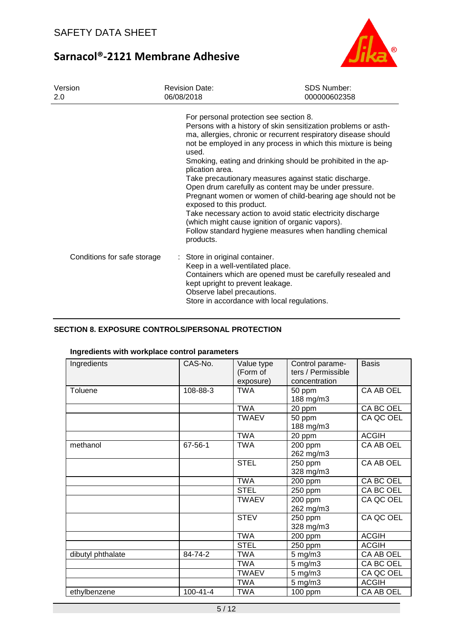

| Version<br>2.0              | <b>Revision Date:</b><br>06/08/2018                                                                                                                                                 | <b>SDS Number:</b><br>000000602358                                                                                                                                                                                                                                                                                                                                                                                                                                                                                                                                                                                             |
|-----------------------------|-------------------------------------------------------------------------------------------------------------------------------------------------------------------------------------|--------------------------------------------------------------------------------------------------------------------------------------------------------------------------------------------------------------------------------------------------------------------------------------------------------------------------------------------------------------------------------------------------------------------------------------------------------------------------------------------------------------------------------------------------------------------------------------------------------------------------------|
|                             | For personal protection see section 8.<br>used.<br>plication area.<br>exposed to this product.<br>products.                                                                         | Persons with a history of skin sensitization problems or asth-<br>ma, allergies, chronic or recurrent respiratory disease should<br>not be employed in any process in which this mixture is being<br>Smoking, eating and drinking should be prohibited in the ap-<br>Take precautionary measures against static discharge.<br>Open drum carefully as content may be under pressure.<br>Pregnant women or women of child-bearing age should not be<br>Take necessary action to avoid static electricity discharge<br>(which might cause ignition of organic vapors).<br>Follow standard hygiene measures when handling chemical |
| Conditions for safe storage | : Store in original container.<br>Keep in a well-ventilated place.<br>kept upright to prevent leakage.<br>Observe label precautions.<br>Store in accordance with local regulations. | Containers which are opened must be carefully resealed and                                                                                                                                                                                                                                                                                                                                                                                                                                                                                                                                                                     |

### **SECTION 8. EXPOSURE CONTROLS/PERSONAL PROTECTION**

#### **Ingredients with workplace control parameters**

| Ingredients       | CAS-No.        | Value type<br>(Form of<br>exposure) | Control parame-<br>ters / Permissible<br>concentration | <b>Basis</b> |
|-------------------|----------------|-------------------------------------|--------------------------------------------------------|--------------|
| Toluene           | 108-88-3       | <b>TWA</b>                          | 50 ppm<br>188 mg/m3                                    | CA AB OEL    |
|                   |                | <b>TWA</b>                          | 20 ppm                                                 | CA BC OEL    |
|                   |                | <b>TWAEV</b>                        | 50 ppm<br>188 mg/m3                                    | CA QC OEL    |
|                   |                | <b>TWA</b>                          | 20 ppm                                                 | <b>ACGIH</b> |
| methanol          | 67-56-1        | <b>TWA</b>                          | 200 ppm<br>262 mg/m3                                   | CA AB OEL    |
|                   |                | <b>STEL</b>                         | 250 ppm<br>328 mg/m3                                   | CA AB OEL    |
|                   |                | <b>TWA</b>                          | 200 ppm                                                | CA BC OEL    |
|                   |                | <b>STEL</b>                         | 250 ppm                                                | CA BC OEL    |
|                   |                | <b>TWAEV</b>                        | 200 ppm<br>262 mg/m3                                   | CA QC OEL    |
|                   |                | <b>STEV</b>                         | 250 ppm<br>328 mg/m3                                   | CA QC OEL    |
|                   |                | <b>TWA</b>                          | 200 ppm                                                | <b>ACGIH</b> |
|                   |                | <b>STEL</b>                         | 250 ppm                                                | <b>ACGIH</b> |
| dibutyl phthalate | 84-74-2        | <b>TWA</b>                          | 5 mg/m3                                                | CA AB OEL    |
|                   |                | <b>TWA</b>                          | $5$ mg/m $3$                                           | CA BC OEL    |
|                   |                | <b>TWAEV</b>                        | $5$ mg/m $3$                                           | CA QC OEL    |
|                   |                | <b>TWA</b>                          | $5$ mg/m $3$                                           | <b>ACGIH</b> |
| ethylbenzene      | $100 - 41 - 4$ | <b>TWA</b>                          | 100 ppm                                                | CA AB OEL    |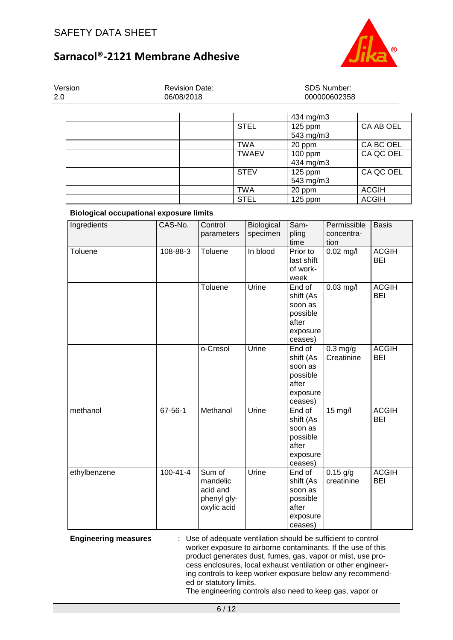

| Version<br>2.0 | <b>Revision Date:</b><br>06/08/2018 | SDS Number:<br>000000602358 |                        |              |
|----------------|-------------------------------------|-----------------------------|------------------------|--------------|
|                |                                     |                             | 434 mg/m3              |              |
|                |                                     | <b>STEL</b>                 | $125$ ppm<br>543 mg/m3 | CA AB OEL    |
|                |                                     | TWA                         | 20 ppm                 | CA BC OEL    |
|                |                                     | <b>TWAEV</b>                | $100$ ppm<br>434 mg/m3 | CA QC OEL    |
|                |                                     | <b>STEV</b>                 | $125$ ppm<br>543 mg/m3 | CA QC OEL    |
|                |                                     | TWA                         | 20 ppm                 | <b>ACGIH</b> |
|                |                                     | <b>STEL</b>                 | $125$ ppm              | <b>ACGIH</b> |

### **Biological occupational exposure limits**

| Ingredients                 | CAS-No.        | Control                                                                                                                       | Biological | Sam-                                                                       | Permissible              | <b>Basis</b>               |
|-----------------------------|----------------|-------------------------------------------------------------------------------------------------------------------------------|------------|----------------------------------------------------------------------------|--------------------------|----------------------------|
|                             |                | parameters                                                                                                                    | specimen   | pling<br>time                                                              | concentra-               |                            |
| Toluene                     | 108-88-3       | Toluene                                                                                                                       | In blood   | Prior to<br>last shift<br>of work-<br>week                                 | tion<br>$0.02$ mg/l      | <b>ACGIH</b><br><b>BEI</b> |
|                             |                | Toluene                                                                                                                       | Urine      | End of<br>shift (As<br>soon as<br>possible<br>after<br>exposure<br>ceases) | $0.03$ mg/l              | <b>ACGIH</b><br><b>BEI</b> |
|                             |                | o-Cresol                                                                                                                      | Urine      | End of<br>shift (As<br>soon as<br>possible<br>after<br>exposure<br>ceases) | $0.3$ mg/g<br>Creatinine | <b>ACGIH</b><br><b>BEI</b> |
| methanol                    | 67-56-1        | Methanol                                                                                                                      | Urine      | End of<br>shift (As<br>soon as<br>possible<br>after<br>exposure<br>ceases) | 15 mg/l                  | <b>ACGIH</b><br><b>BEI</b> |
| ethylbenzene                | $100 - 41 - 4$ | Sum of<br>mandelic<br>acid and<br>phenyl gly-<br>oxylic acid                                                                  | Urine      | End of<br>shift (As<br>soon as<br>possible<br>after<br>exposure<br>ceases) | $0.15$ g/g<br>creatinine | <b>ACGIH</b><br><b>BEI</b> |
| <b>Engineering measures</b> |                | Use of adequate ventilation should be sufficient to control<br>worker experients to airborne contaminants. If the use of this |            |                                                                            |                          |                            |

worker exposure to airborne contaminants. If the use of this product generates dust, fumes, gas, vapor or mist, use process enclosures, local exhaust ventilation or other engineering controls to keep worker exposure below any recommended or statutory limits.

The engineering controls also need to keep gas, vapor or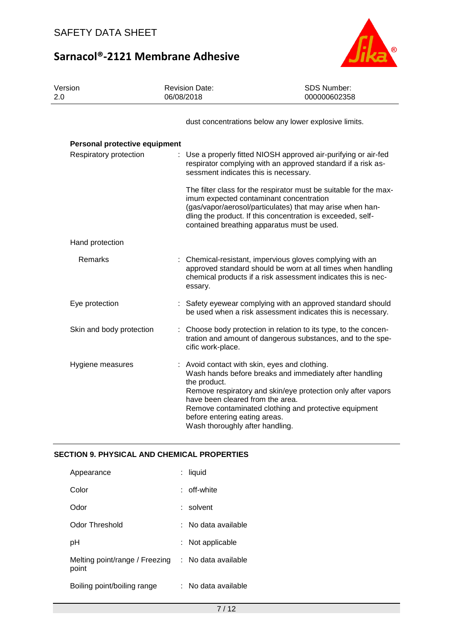

| Version<br>2.0                | <b>Revision Date:</b><br>06/08/2018                                                                                                                                 | SDS Number:<br>000000602358                                                                                                                                                                                                                  |
|-------------------------------|---------------------------------------------------------------------------------------------------------------------------------------------------------------------|----------------------------------------------------------------------------------------------------------------------------------------------------------------------------------------------------------------------------------------------|
|                               |                                                                                                                                                                     | dust concentrations below any lower explosive limits.                                                                                                                                                                                        |
| Personal protective equipment |                                                                                                                                                                     |                                                                                                                                                                                                                                              |
| Respiratory protection        | sessment indicates this is necessary.                                                                                                                               | : Use a properly fitted NIOSH approved air-purifying or air-fed<br>respirator complying with an approved standard if a risk as-                                                                                                              |
|                               | imum expected contaminant concentration                                                                                                                             | The filter class for the respirator must be suitable for the max-<br>(gas/vapor/aerosol/particulates) that may arise when han-<br>dling the product. If this concentration is exceeded, self-<br>contained breathing apparatus must be used. |
| Hand protection               |                                                                                                                                                                     |                                                                                                                                                                                                                                              |
| Remarks                       | essary.                                                                                                                                                             | : Chemical-resistant, impervious gloves complying with an<br>approved standard should be worn at all times when handling<br>chemical products if a risk assessment indicates this is nec-                                                    |
| Eye protection                |                                                                                                                                                                     | Safety eyewear complying with an approved standard should<br>be used when a risk assessment indicates this is necessary.                                                                                                                     |
| Skin and body protection      | cific work-place.                                                                                                                                                   | Choose body protection in relation to its type, to the concen-<br>tration and amount of dangerous substances, and to the spe-                                                                                                                |
| Hygiene measures              | Avoid contact with skin, eyes and clothing.<br>the product.<br>have been cleared from the area.<br>before entering eating areas.<br>Wash thoroughly after handling. | Wash hands before breaks and immediately after handling<br>Remove respiratory and skin/eye protection only after vapors<br>Remove contaminated clothing and protective equipment                                                             |

## **SECTION 9. PHYSICAL AND CHEMICAL PROPERTIES**

| Appearance                              | : liquid            |
|-----------------------------------------|---------------------|
| Color                                   | : off-white         |
| Odor                                    | $:$ solvent         |
| Odor Threshold                          | : No data available |
| рH                                      | : Not applicable    |
| Melting point/range / Freezing<br>point | : No data available |
| Boiling point/boiling range             | : No data available |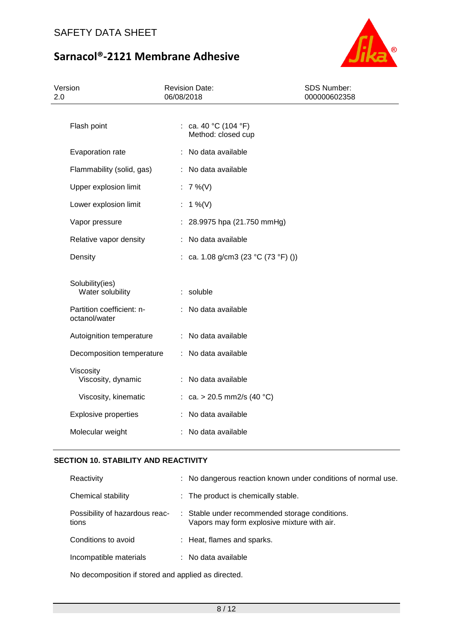

| Version<br>2.0                                                                    | <b>Revision Date:</b><br>06/08/2018               | SDS Number:<br>000000602358 |
|-----------------------------------------------------------------------------------|---------------------------------------------------|-----------------------------|
| Flash point                                                                       | : ca. 40 °C (104 °F)<br>Method: closed cup        |                             |
| Evaporation rate                                                                  | : No data available                               |                             |
| Flammability (solid, gas)                                                         | : No data available                               |                             |
| Upper explosion limit                                                             | : $7\%$ (V)                                       |                             |
| Lower explosion limit                                                             | : 1 %(V)                                          |                             |
| Vapor pressure                                                                    | : 28.9975 hpa (21.750 mmHg)                       |                             |
| Relative vapor density                                                            | : No data available                               |                             |
| Density                                                                           | : ca. 1.08 g/cm3 (23 °C (73 °F) ())               |                             |
| Solubility(ies)<br>Water solubility<br>Partition coefficient: n-<br>octanol/water | : soluble<br>: No data available                  |                             |
| Autoignition temperature                                                          | : No data available                               |                             |
| Decomposition temperature                                                         | : No data available                               |                             |
| Viscosity<br>Viscosity, dynamic<br>Viscosity, kinematic                           | : No data available<br>: ca. > 20.5 mm2/s (40 °C) |                             |
| <b>Explosive properties</b>                                                       | : No data available                               |                             |
| Molecular weight                                                                  | : No data available                               |                             |

## **SECTION 10. STABILITY AND REACTIVITY**

| Reactivity                              | : No dangerous reaction known under conditions of normal use.                                 |
|-----------------------------------------|-----------------------------------------------------------------------------------------------|
| Chemical stability                      | : The product is chemically stable.                                                           |
| Possibility of hazardous reac-<br>tions | : Stable under recommended storage conditions.<br>Vapors may form explosive mixture with air. |
| Conditions to avoid                     | : Heat, flames and sparks.                                                                    |
| Incompatible materials                  | $\therefore$ No data available                                                                |

No decomposition if stored and applied as directed.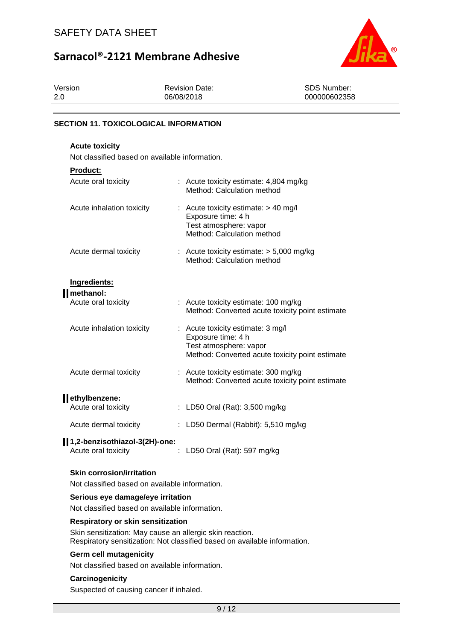

| Version | <b>Revision Date:</b> | SDS Number:  |
|---------|-----------------------|--------------|
| 2.0     | 06/08/2018            | 000000602358 |
|         |                       |              |

### **SECTION 11. TOXICOLOGICAL INFORMATION**

### **Acute toxicity**

Not classified based on available information.

## **Product:**

| Acute oral toxicity                        | : Acute toxicity estimate: 4,804 mg/kg<br>Method: Calculation method                                                                 |
|--------------------------------------------|--------------------------------------------------------------------------------------------------------------------------------------|
| Acute inhalation toxicity                  | : Acute toxicity estimate: $> 40$ mg/l<br>Exposure time: 4 h<br>Test atmosphere: vapor<br>Method: Calculation method                 |
| Acute dermal toxicity                      | : Acute toxicity estimate: $> 5,000$ mg/kg<br>Method: Calculation method                                                             |
| Ingredients:                               |                                                                                                                                      |
| <b>II</b> methanol:<br>Acute oral toxicity | : Acute toxicity estimate: 100 mg/kg<br>Method: Converted acute toxicity point estimate                                              |
| Acute inhalation toxicity                  | : Acute toxicity estimate: 3 mg/l<br>Exposure time: 4 h<br>Test atmosphere: vapor<br>Method: Converted acute toxicity point estimate |
| Acute dermal toxicity                      | : Acute toxicity estimate: 300 mg/kg<br>Method: Converted acute toxicity point estimate                                              |
| ethylbenzene:                              |                                                                                                                                      |
| Acute oral toxicity                        | : LD50 Oral (Rat): 3,500 mg/kg                                                                                                       |
| Acute dermal toxicity                      | : LD50 Dermal (Rabbit): $5,510$ mg/kg                                                                                                |
| 1,2-benzisothiazol-3(2H)-one:              |                                                                                                                                      |

# **Skin corrosion/irritation**

Not classified based on available information.

#### **Serious eye damage/eye irritation**

Not classified based on available information.

#### **Respiratory or skin sensitization**

Skin sensitization: May cause an allergic skin reaction. Respiratory sensitization: Not classified based on available information.

Acute oral toxicity : LD50 Oral (Rat): 597 mg/kg

#### **Germ cell mutagenicity**

Not classified based on available information.

### **Carcinogenicity**

Suspected of causing cancer if inhaled.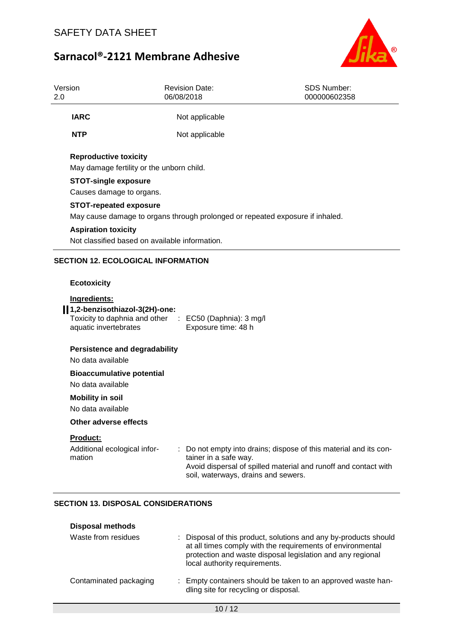



| Version<br>2.0 |                                                                                                                                                                       | <b>Revision Date:</b><br>06/08/2018                                                                                                                                                                | SDS Number:<br>000000602358 |
|----------------|-----------------------------------------------------------------------------------------------------------------------------------------------------------------------|----------------------------------------------------------------------------------------------------------------------------------------------------------------------------------------------------|-----------------------------|
|                | <b>IARC</b>                                                                                                                                                           | Not applicable                                                                                                                                                                                     |                             |
|                | <b>NTP</b>                                                                                                                                                            | Not applicable                                                                                                                                                                                     |                             |
|                | <b>Reproductive toxicity</b><br>May damage fertility or the unborn child.<br><b>STOT-single exposure</b><br>Causes damage to organs.<br><b>STOT-repeated exposure</b> | May cause damage to organs through prolonged or repeated exposure if inhaled.                                                                                                                      |                             |
|                | <b>Aspiration toxicity</b><br>Not classified based on available information.                                                                                          |                                                                                                                                                                                                    |                             |
|                | <b>SECTION 12. ECOLOGICAL INFORMATION</b>                                                                                                                             |                                                                                                                                                                                                    |                             |
|                | <b>Ecotoxicity</b>                                                                                                                                                    |                                                                                                                                                                                                    |                             |
|                | Ingredients:<br>1,2-benzisothiazol-3(2H)-one:<br>Toxicity to daphnia and other : EC50 (Daphnia): 3 mg/l<br>aquatic invertebrates                                      | Exposure time: 48 h                                                                                                                                                                                |                             |
|                | <b>Persistence and degradability</b><br>No data available                                                                                                             |                                                                                                                                                                                                    |                             |
|                | <b>Bioaccumulative potential</b><br>No data available                                                                                                                 |                                                                                                                                                                                                    |                             |
|                | <b>Mobility in soil</b><br>No data available                                                                                                                          |                                                                                                                                                                                                    |                             |
|                | Other adverse effects                                                                                                                                                 |                                                                                                                                                                                                    |                             |
|                | Product:<br>Additional ecological infor-<br>mation                                                                                                                    | Do not empty into drains; dispose of this material and its con-<br>tainer in a safe way.<br>Avoid dispersal of spilled material and runoff and contact with<br>soil, waterways, drains and sewers. |                             |

# **SECTION 13. DISPOSAL CONSIDERATIONS**

| <b>Disposal methods</b> |                                                                                                                                                                                                                               |
|-------------------------|-------------------------------------------------------------------------------------------------------------------------------------------------------------------------------------------------------------------------------|
| Waste from residues     | : Disposal of this product, solutions and any by-products should<br>at all times comply with the requirements of environmental<br>protection and waste disposal legislation and any regional<br>local authority requirements. |
| Contaminated packaging  | : Empty containers should be taken to an approved waste han-<br>dling site for recycling or disposal.                                                                                                                         |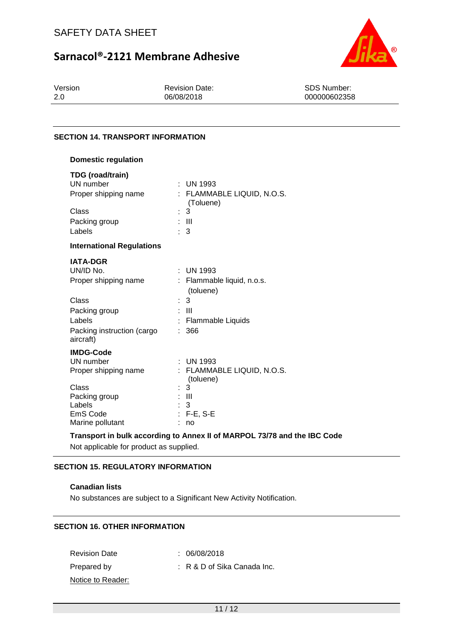



Version 2.0

Revision Date: 06/08/2018

SDS Number: 000000602358

### **SECTION 14. TRANSPORT INFORMATION**

| <b>Domestic regulation</b>                                                                                                          |                                                                                                          |
|-------------------------------------------------------------------------------------------------------------------------------------|----------------------------------------------------------------------------------------------------------|
| TDG (road/train)<br>UN number<br>Proper shipping name<br>Class                                                                      | $:$ UN 1993<br>FLAMMABLE LIQUID, N.O.S.<br>(Toluene)<br>3                                                |
| Packing group                                                                                                                       | Ш                                                                                                        |
| Labels                                                                                                                              | 3                                                                                                        |
| <b>International Regulations</b>                                                                                                    |                                                                                                          |
| <b>IATA-DGR</b><br>UN/ID No.<br>Proper shipping name<br>Class<br>Packing group<br>Labels<br>Packing instruction (cargo<br>aircraft) | UN 1993<br>٠<br>Flammable liquid, n.o.s.<br>(toluene)<br>3<br>t.<br>Ш<br><b>Flammable Liquids</b><br>366 |
| <b>IMDG-Code</b><br>UN number<br>Proper shipping name<br>Class<br>Packing group<br>Labels<br>EmS Code<br>Marine pollutant           | <b>UN 1993</b><br>FLAMMABLE LIQUID, N.O.S.<br>(toluene)<br>3<br>$\mathbf{III}$<br>3<br>$F-E$ , S-E<br>no |

#### **Transport in bulk according to Annex II of MARPOL 73/78 and the IBC Code**

Not applicable for product as supplied.

### **SECTION 15. REGULATORY INFORMATION**

### **Canadian lists**

No substances are subject to a Significant New Activity Notification.

### **SECTION 16. OTHER INFORMATION**

Revision Date : 06/08/2018 Prepared by : R & D of Sika Canada Inc. Notice to Reader: